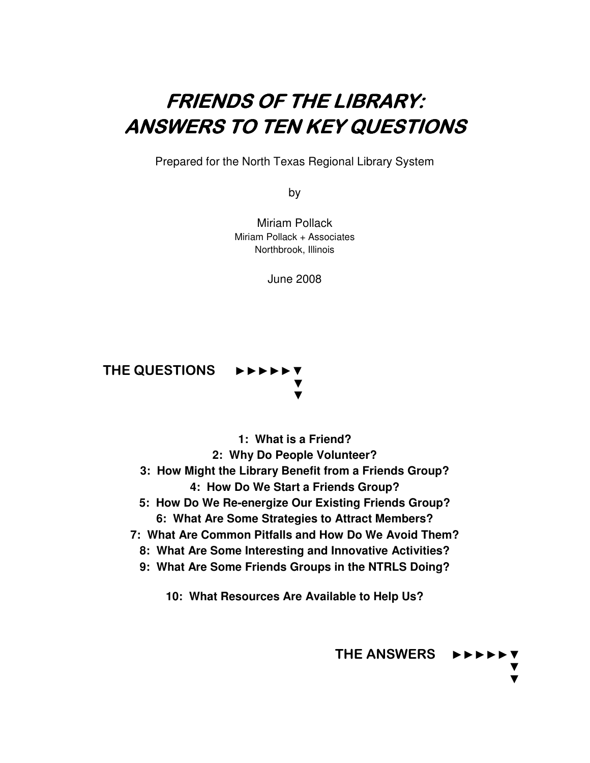# FRIENDS OF THE LIBRARY: **ANSWERS TO TEN KEY QUESTIONS**

Prepared for the North Texas Regional Library System

by

Miriam Pollack Miriam Pollack + Associates Northbrook, Illinois

June 2008



**1: What is a Friend? 2: Why Do People Volunteer? 3: How Might the Library Benefit from a Friends Group? 4: How Do We Start a Friends Group? 5: How Do We Re-energize Our Existing Friends Group? 6: What Are Some Strategies to Attract Members? 7: What Are Common Pitfalls and How Do We Avoid Them? 8: What Are Some Interesting and Innovative Activities? 9: What Are Some Friends Groups in the NTRLS Doing?** 

**10: What Resources Are Available to Help Us?** 

THE ANSWERS►►►►►▼ ▼ ▼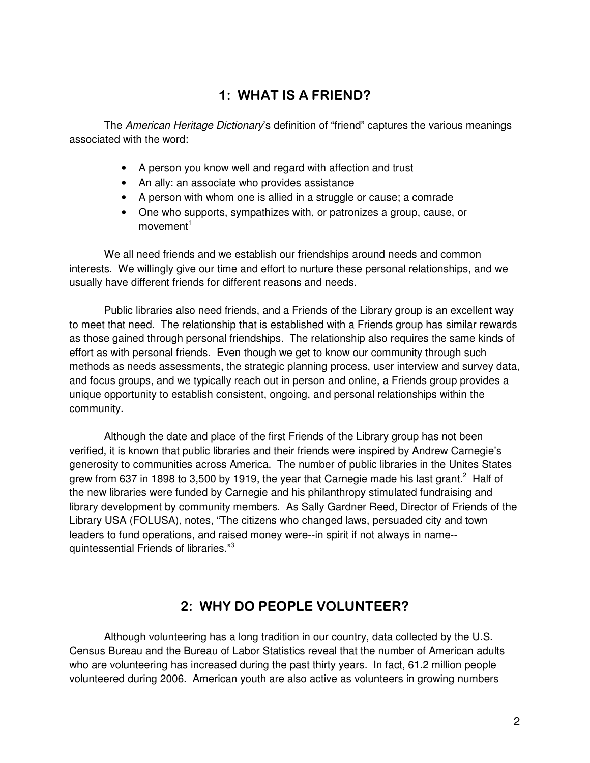### 1: WHAT IS A FRIEND?

The American Heritage Dictionary's definition of "friend" captures the various meanings associated with the word:

- A person you know well and regard with affection and trust
- An ally: an associate who provides assistance
- A person with whom one is allied in a struggle or cause; a comrade
- One who supports, sympathizes with, or patronizes a group, cause, or  $movere^1$

 We all need friends and we establish our friendships around needs and common interests. We willingly give our time and effort to nurture these personal relationships, and we usually have different friends for different reasons and needs.

 Public libraries also need friends, and a Friends of the Library group is an excellent way to meet that need. The relationship that is established with a Friends group has similar rewards as those gained through personal friendships. The relationship also requires the same kinds of effort as with personal friends. Even though we get to know our community through such methods as needs assessments, the strategic planning process, user interview and survey data, and focus groups, and we typically reach out in person and online, a Friends group provides a unique opportunity to establish consistent, ongoing, and personal relationships within the community.

 Although the date and place of the first Friends of the Library group has not been verified, it is known that public libraries and their friends were inspired by Andrew Carnegie's generosity to communities across America. The number of public libraries in the Unites States grew from 637 in 1898 to 3,500 by 1919, the year that Carnegie made his last grant.<sup>2</sup> Half of the new libraries were funded by Carnegie and his philanthropy stimulated fundraising and library development by community members. As Sally Gardner Reed, Director of Friends of the Library USA (FOLUSA), notes, "The citizens who changed laws, persuaded city and town leaders to fund operations, and raised money were--in spirit if not always in name- quintessential Friends of libraries."<sup>3</sup>

### 2: WHY DO PEOPLE VOLUNTEER?

 Although volunteering has a long tradition in our country, data collected by the U.S. Census Bureau and the Bureau of Labor Statistics reveal that the number of American adults who are volunteering has increased during the past thirty years. In fact, 61.2 million people volunteered during 2006. American youth are also active as volunteers in growing numbers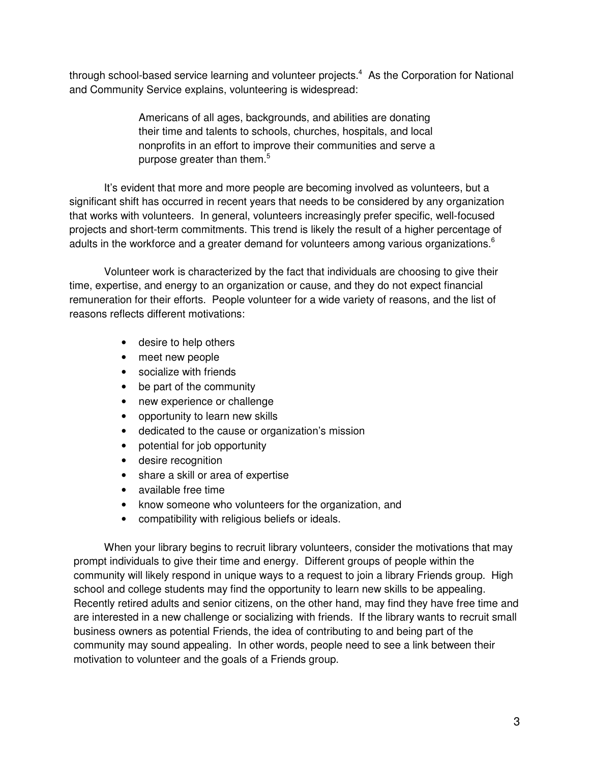through school-based service learning and volunteer projects. $4$  As the Corporation for National and Community Service explains, volunteering is widespread:

> Americans of all ages, backgrounds, and abilities are donating their time and talents to schools, churches, hospitals, and local nonprofits in an effort to improve their communities and serve a purpose greater than them.<sup>5</sup>

 It's evident that more and more people are becoming involved as volunteers, but a significant shift has occurred in recent years that needs to be considered by any organization that works with volunteers. In general, volunteers increasingly prefer specific, well-focused projects and short-term commitments. This trend is likely the result of a higher percentage of adults in the workforce and a greater demand for volunteers among various organizations.<sup>6</sup>

 Volunteer work is characterized by the fact that individuals are choosing to give their time, expertise, and energy to an organization or cause, and they do not expect financial remuneration for their efforts. People volunteer for a wide variety of reasons, and the list of reasons reflects different motivations:

- desire to help others
- meet new people
- socialize with friends
- be part of the community
- new experience or challenge
- opportunity to learn new skills
- dedicated to the cause or organization's mission
- potential for job opportunity
- desire recognition
- share a skill or area of expertise
- available free time
- know someone who volunteers for the organization, and
- compatibility with religious beliefs or ideals.

When your library begins to recruit library volunteers, consider the motivations that may prompt individuals to give their time and energy. Different groups of people within the community will likely respond in unique ways to a request to join a library Friends group. High school and college students may find the opportunity to learn new skills to be appealing. Recently retired adults and senior citizens, on the other hand, may find they have free time and are interested in a new challenge or socializing with friends. If the library wants to recruit small business owners as potential Friends, the idea of contributing to and being part of the community may sound appealing. In other words, people need to see a link between their motivation to volunteer and the goals of a Friends group.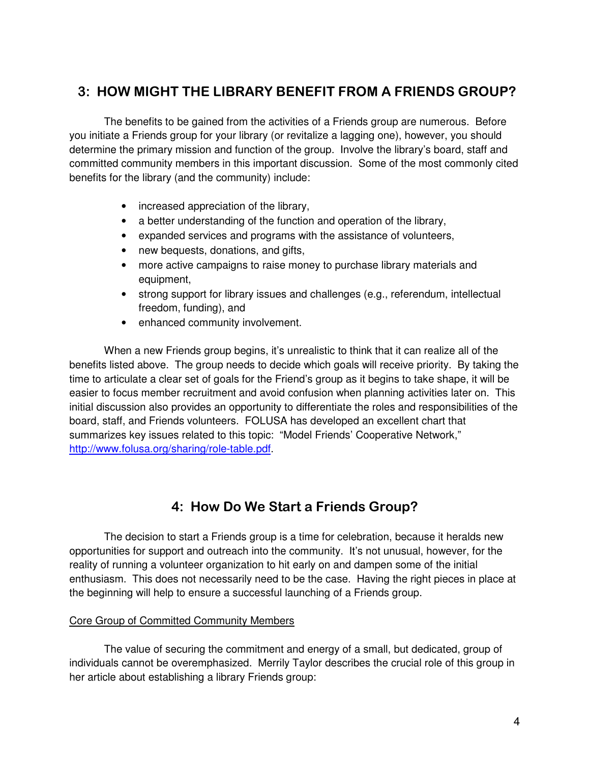### 3: HOW MIGHT THE LIBRARY BENEFIT FROM A FRIENDS GROUP?

 The benefits to be gained from the activities of a Friends group are numerous. Before you initiate a Friends group for your library (or revitalize a lagging one), however, you should determine the primary mission and function of the group. Involve the library's board, staff and committed community members in this important discussion. Some of the most commonly cited benefits for the library (and the community) include:

- increased appreciation of the library,
- a better understanding of the function and operation of the library,
- expanded services and programs with the assistance of volunteers,
- new bequests, donations, and gifts,
- more active campaigns to raise money to purchase library materials and equipment,
- strong support for library issues and challenges (e.g., referendum, intellectual freedom, funding), and
- enhanced community involvement.

 When a new Friends group begins, it's unrealistic to think that it can realize all of the benefits listed above. The group needs to decide which goals will receive priority. By taking the time to articulate a clear set of goals for the Friend's group as it begins to take shape, it will be easier to focus member recruitment and avoid confusion when planning activities later on. This initial discussion also provides an opportunity to differentiate the roles and responsibilities of the board, staff, and Friends volunteers. FOLUSA has developed an excellent chart that summarizes key issues related to this topic: "Model Friends' Cooperative Network," http://www.folusa.org/sharing/role-table.pdf.

### 4: How Do We Start a Friends Group?

 The decision to start a Friends group is a time for celebration, because it heralds new opportunities for support and outreach into the community. It's not unusual, however, for the reality of running a volunteer organization to hit early on and dampen some of the initial enthusiasm. This does not necessarily need to be the case. Having the right pieces in place at the beginning will help to ensure a successful launching of a Friends group.

### Core Group of Committed Community Members

The value of securing the commitment and energy of a small, but dedicated, group of individuals cannot be overemphasized. Merrily Taylor describes the crucial role of this group in her article about establishing a library Friends group: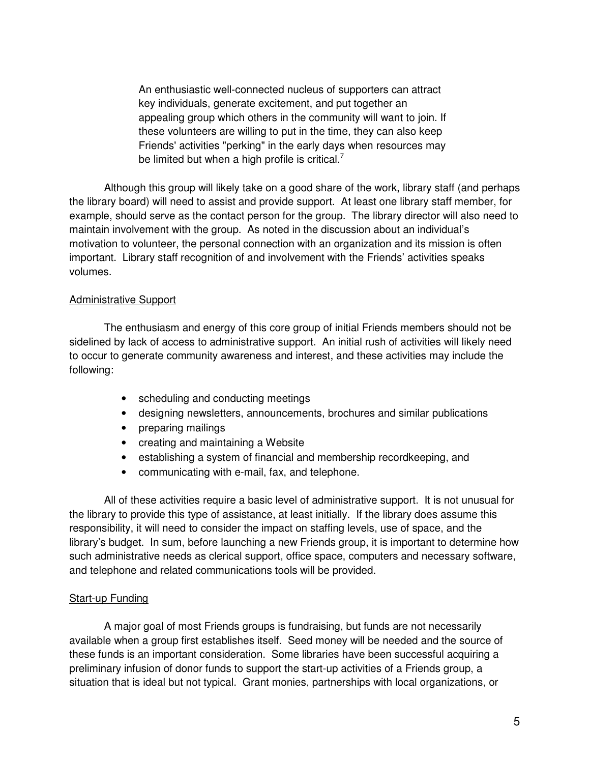An enthusiastic well-connected nucleus of supporters can attract key individuals, generate excitement, and put together an appealing group which others in the community will want to join. If these volunteers are willing to put in the time, they can also keep Friends' activities "perking" in the early days when resources may be limited but when a high profile is critical.<sup>7</sup>

 Although this group will likely take on a good share of the work, library staff (and perhaps the library board) will need to assist and provide support. At least one library staff member, for example, should serve as the contact person for the group. The library director will also need to maintain involvement with the group. As noted in the discussion about an individual's motivation to volunteer, the personal connection with an organization and its mission is often important. Library staff recognition of and involvement with the Friends' activities speaks volumes.

#### Administrative Support

 The enthusiasm and energy of this core group of initial Friends members should not be sidelined by lack of access to administrative support. An initial rush of activities will likely need to occur to generate community awareness and interest, and these activities may include the following:

- scheduling and conducting meetings
- designing newsletters, announcements, brochures and similar publications
- preparing mailings
- creating and maintaining a Website
- establishing a system of financial and membership recordkeeping, and
- communicating with e-mail, fax, and telephone.

 All of these activities require a basic level of administrative support. It is not unusual for the library to provide this type of assistance, at least initially. If the library does assume this responsibility, it will need to consider the impact on staffing levels, use of space, and the library's budget. In sum, before launching a new Friends group, it is important to determine how such administrative needs as clerical support, office space, computers and necessary software, and telephone and related communications tools will be provided.

#### Start-up Funding

 A major goal of most Friends groups is fundraising, but funds are not necessarily available when a group first establishes itself. Seed money will be needed and the source of these funds is an important consideration. Some libraries have been successful acquiring a preliminary infusion of donor funds to support the start-up activities of a Friends group, a situation that is ideal but not typical. Grant monies, partnerships with local organizations, or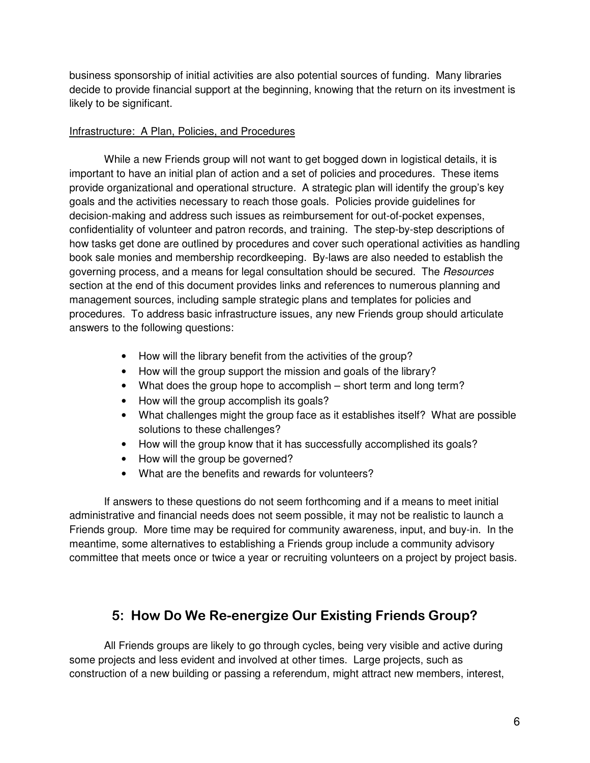business sponsorship of initial activities are also potential sources of funding. Many libraries decide to provide financial support at the beginning, knowing that the return on its investment is likely to be significant.

### Infrastructure: A Plan, Policies, and Procedures

 While a new Friends group will not want to get bogged down in logistical details, it is important to have an initial plan of action and a set of policies and procedures. These items provide organizational and operational structure. A strategic plan will identify the group's key goals and the activities necessary to reach those goals. Policies provide guidelines for decision-making and address such issues as reimbursement for out-of-pocket expenses, confidentiality of volunteer and patron records, and training. The step-by-step descriptions of how tasks get done are outlined by procedures and cover such operational activities as handling book sale monies and membership recordkeeping. By-laws are also needed to establish the governing process, and a means for legal consultation should be secured. The Resources section at the end of this document provides links and references to numerous planning and management sources, including sample strategic plans and templates for policies and procedures. To address basic infrastructure issues, any new Friends group should articulate answers to the following questions:

- How will the library benefit from the activities of the group?
- How will the group support the mission and goals of the library?
- What does the group hope to accomplish short term and long term?
- How will the group accomplish its goals?
- What challenges might the group face as it establishes itself? What are possible solutions to these challenges?
- How will the group know that it has successfully accomplished its goals?
- How will the group be governed?
- What are the benefits and rewards for volunteers?

If answers to these questions do not seem forthcoming and if a means to meet initial administrative and financial needs does not seem possible, it may not be realistic to launch a Friends group. More time may be required for community awareness, input, and buy-in. In the meantime, some alternatives to establishing a Friends group include a community advisory committee that meets once or twice a year or recruiting volunteers on a project by project basis.

### 5: How Do We Re-energize Our Existing Friends Group?

 All Friends groups are likely to go through cycles, being very visible and active during some projects and less evident and involved at other times. Large projects, such as construction of a new building or passing a referendum, might attract new members, interest,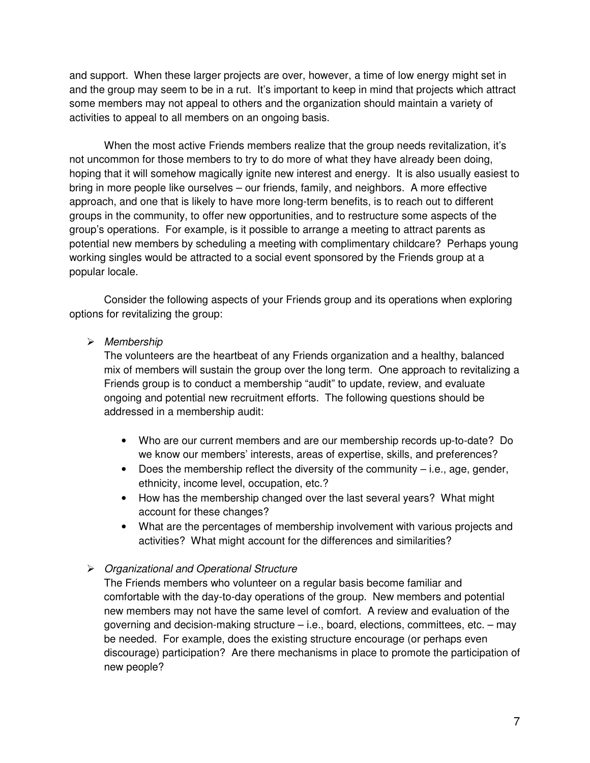and support. When these larger projects are over, however, a time of low energy might set in and the group may seem to be in a rut. It's important to keep in mind that projects which attract some members may not appeal to others and the organization should maintain a variety of activities to appeal to all members on an ongoing basis.

When the most active Friends members realize that the group needs revitalization, it's not uncommon for those members to try to do more of what they have already been doing, hoping that it will somehow magically ignite new interest and energy. It is also usually easiest to bring in more people like ourselves – our friends, family, and neighbors. A more effective approach, and one that is likely to have more long-term benefits, is to reach out to different groups in the community, to offer new opportunities, and to restructure some aspects of the group's operations. For example, is it possible to arrange a meeting to attract parents as potential new members by scheduling a meeting with complimentary childcare? Perhaps young working singles would be attracted to a social event sponsored by the Friends group at a popular locale.

 Consider the following aspects of your Friends group and its operations when exploring options for revitalizing the group:

#### $\triangleright$  Membership

The volunteers are the heartbeat of any Friends organization and a healthy, balanced mix of members will sustain the group over the long term. One approach to revitalizing a Friends group is to conduct a membership "audit" to update, review, and evaluate ongoing and potential new recruitment efforts. The following questions should be addressed in a membership audit:

- Who are our current members and are our membership records up-to-date? Do we know our members' interests, areas of expertise, skills, and preferences?
- Does the membership reflect the diversity of the community  $-$  i.e., age, gender, ethnicity, income level, occupation, etc.?
- How has the membership changed over the last several years? What might account for these changes?
- What are the percentages of membership involvement with various projects and activities? What might account for the differences and similarities?

### Organizational and Operational Structure

The Friends members who volunteer on a regular basis become familiar and comfortable with the day-to-day operations of the group. New members and potential new members may not have the same level of comfort. A review and evaluation of the governing and decision-making structure – i.e., board, elections, committees, etc. – may be needed. For example, does the existing structure encourage (or perhaps even discourage) participation? Are there mechanisms in place to promote the participation of new people?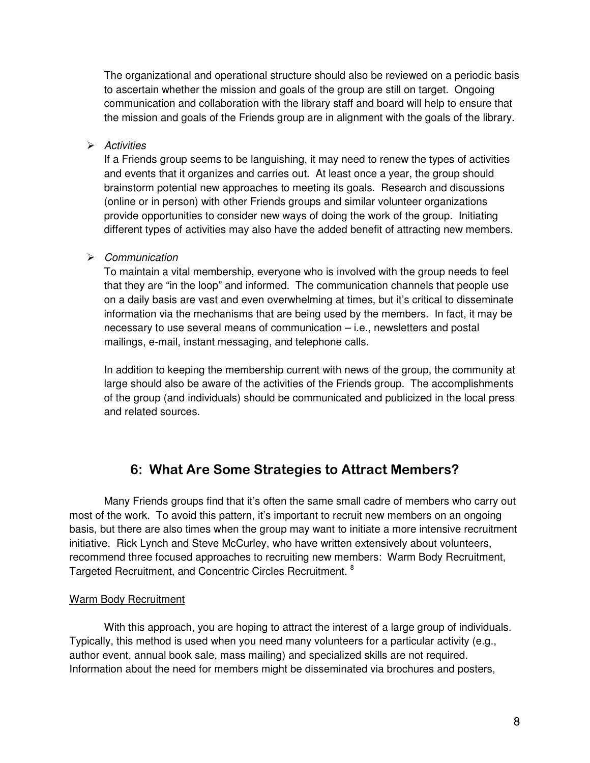The organizational and operational structure should also be reviewed on a periodic basis to ascertain whether the mission and goals of the group are still on target. Ongoing communication and collaboration with the library staff and board will help to ensure that the mission and goals of the Friends group are in alignment with the goals of the library.

#### $\triangleright$  Activities

If a Friends group seems to be languishing, it may need to renew the types of activities and events that it organizes and carries out. At least once a year, the group should brainstorm potential new approaches to meeting its goals. Research and discussions (online or in person) with other Friends groups and similar volunteer organizations provide opportunities to consider new ways of doing the work of the group. Initiating different types of activities may also have the added benefit of attracting new members.

### $\triangleright$  Communication

To maintain a vital membership, everyone who is involved with the group needs to feel that they are "in the loop" and informed. The communication channels that people use on a daily basis are vast and even overwhelming at times, but it's critical to disseminate information via the mechanisms that are being used by the members. In fact, it may be necessary to use several means of communication – i.e., newsletters and postal mailings, e-mail, instant messaging, and telephone calls.

In addition to keeping the membership current with news of the group, the community at large should also be aware of the activities of the Friends group. The accomplishments of the group (and individuals) should be communicated and publicized in the local press and related sources.

### 6: What Are Some Strategies to Attract Members?

Many Friends groups find that it's often the same small cadre of members who carry out most of the work. To avoid this pattern, it's important to recruit new members on an ongoing basis, but there are also times when the group may want to initiate a more intensive recruitment initiative. Rick Lynch and Steve McCurley, who have written extensively about volunteers, recommend three focused approaches to recruiting new members: Warm Body Recruitment, Targeted Recruitment, and Concentric Circles Recruitment. <sup>8</sup>

### Warm Body Recruitment

 With this approach, you are hoping to attract the interest of a large group of individuals. Typically, this method is used when you need many volunteers for a particular activity (e.g., author event, annual book sale, mass mailing) and specialized skills are not required. Information about the need for members might be disseminated via brochures and posters,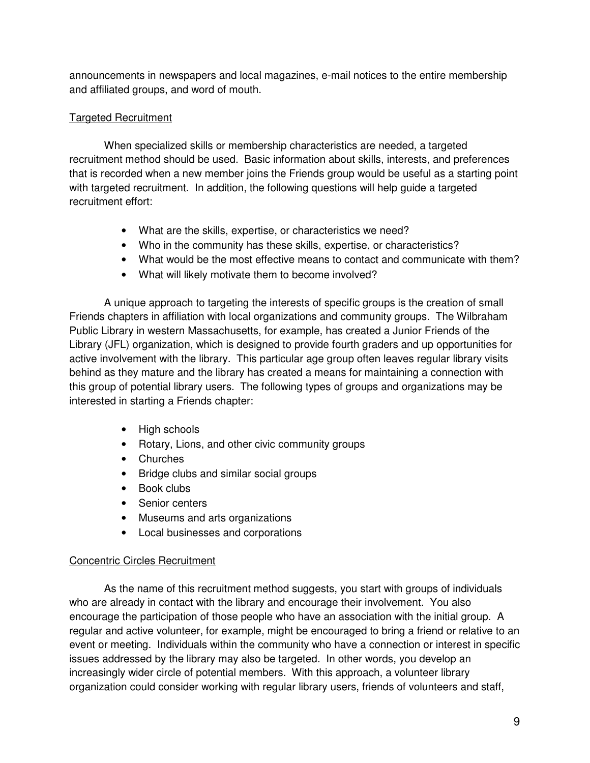announcements in newspapers and local magazines, e-mail notices to the entire membership and affiliated groups, and word of mouth.

### Targeted Recruitment

 When specialized skills or membership characteristics are needed, a targeted recruitment method should be used. Basic information about skills, interests, and preferences that is recorded when a new member joins the Friends group would be useful as a starting point with targeted recruitment. In addition, the following questions will help guide a targeted recruitment effort:

- What are the skills, expertise, or characteristics we need?
- Who in the community has these skills, expertise, or characteristics?
- What would be the most effective means to contact and communicate with them?
- What will likely motivate them to become involved?

 A unique approach to targeting the interests of specific groups is the creation of small Friends chapters in affiliation with local organizations and community groups. The Wilbraham Public Library in western Massachusetts, for example, has created a Junior Friends of the Library (JFL) organization, which is designed to provide fourth graders and up opportunities for active involvement with the library. This particular age group often leaves regular library visits behind as they mature and the library has created a means for maintaining a connection with this group of potential library users. The following types of groups and organizations may be interested in starting a Friends chapter:

- High schools
- Rotary, Lions, and other civic community groups
- Churches
- Bridge clubs and similar social groups
- Book clubs
- Senior centers
- Museums and arts organizations
- Local businesses and corporations

### Concentric Circles Recruitment

 As the name of this recruitment method suggests, you start with groups of individuals who are already in contact with the library and encourage their involvement. You also encourage the participation of those people who have an association with the initial group. A regular and active volunteer, for example, might be encouraged to bring a friend or relative to an event or meeting. Individuals within the community who have a connection or interest in specific issues addressed by the library may also be targeted. In other words, you develop an increasingly wider circle of potential members. With this approach, a volunteer library organization could consider working with regular library users, friends of volunteers and staff,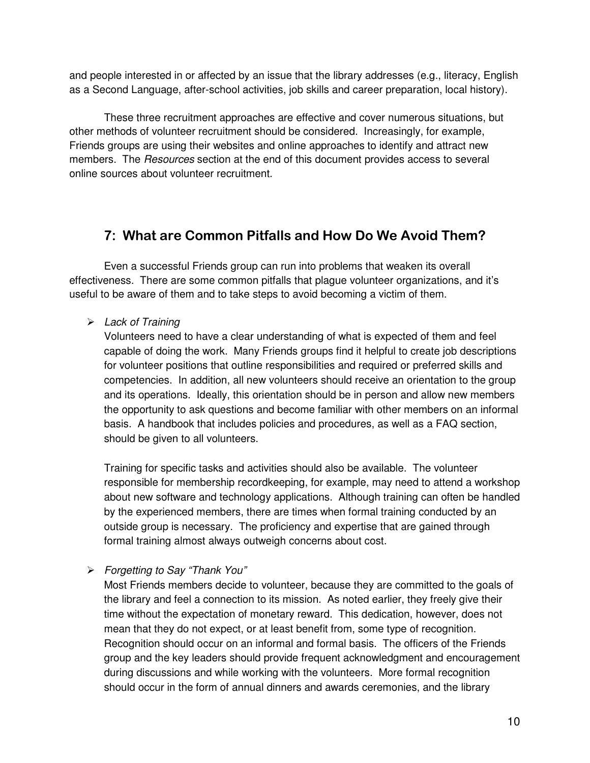and people interested in or affected by an issue that the library addresses (e.g., literacy, English as a Second Language, after-school activities, job skills and career preparation, local history).

 These three recruitment approaches are effective and cover numerous situations, but other methods of volunteer recruitment should be considered. Increasingly, for example, Friends groups are using their websites and online approaches to identify and attract new members. The *Resources* section at the end of this document provides access to several online sources about volunteer recruitment.

### 7: What are Common Pitfalls and How Do We Avoid Them?

Even a successful Friends group can run into problems that weaken its overall effectiveness. There are some common pitfalls that plague volunteer organizations, and it's useful to be aware of them and to take steps to avoid becoming a victim of them.

 $\triangleright$  Lack of Training

Volunteers need to have a clear understanding of what is expected of them and feel capable of doing the work. Many Friends groups find it helpful to create job descriptions for volunteer positions that outline responsibilities and required or preferred skills and competencies. In addition, all new volunteers should receive an orientation to the group and its operations. Ideally, this orientation should be in person and allow new members the opportunity to ask questions and become familiar with other members on an informal basis. A handbook that includes policies and procedures, as well as a FAQ section, should be given to all volunteers.

Training for specific tasks and activities should also be available. The volunteer responsible for membership recordkeeping, for example, may need to attend a workshop about new software and technology applications. Although training can often be handled by the experienced members, there are times when formal training conducted by an outside group is necessary. The proficiency and expertise that are gained through formal training almost always outweigh concerns about cost.

Forgetting to Say "Thank You"

Most Friends members decide to volunteer, because they are committed to the goals of the library and feel a connection to its mission. As noted earlier, they freely give their time without the expectation of monetary reward. This dedication, however, does not mean that they do not expect, or at least benefit from, some type of recognition. Recognition should occur on an informal and formal basis. The officers of the Friends group and the key leaders should provide frequent acknowledgment and encouragement during discussions and while working with the volunteers. More formal recognition should occur in the form of annual dinners and awards ceremonies, and the library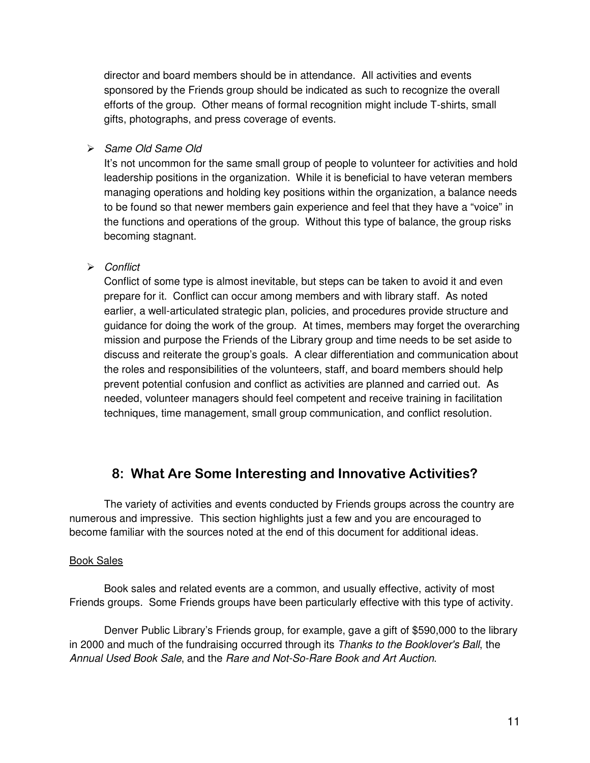director and board members should be in attendance. All activities and events sponsored by the Friends group should be indicated as such to recognize the overall efforts of the group. Other means of formal recognition might include T-shirts, small gifts, photographs, and press coverage of events.

> Same Old Same Old

It's not uncommon for the same small group of people to volunteer for activities and hold leadership positions in the organization. While it is beneficial to have veteran members managing operations and holding key positions within the organization, a balance needs to be found so that newer members gain experience and feel that they have a "voice" in the functions and operations of the group. Without this type of balance, the group risks becoming stagnant.

### $\triangleright$  Conflict

Conflict of some type is almost inevitable, but steps can be taken to avoid it and even prepare for it. Conflict can occur among members and with library staff. As noted earlier, a well-articulated strategic plan, policies, and procedures provide structure and guidance for doing the work of the group. At times, members may forget the overarching mission and purpose the Friends of the Library group and time needs to be set aside to discuss and reiterate the group's goals. A clear differentiation and communication about the roles and responsibilities of the volunteers, staff, and board members should help prevent potential confusion and conflict as activities are planned and carried out. As needed, volunteer managers should feel competent and receive training in facilitation techniques, time management, small group communication, and conflict resolution.

### 8: What Are Some Interesting and Innovative Activities?

 The variety of activities and events conducted by Friends groups across the country are numerous and impressive. This section highlights just a few and you are encouraged to become familiar with the sources noted at the end of this document for additional ideas.

### Book Sales

 Book sales and related events are a common, and usually effective, activity of most Friends groups. Some Friends groups have been particularly effective with this type of activity.

 Denver Public Library's Friends group, for example, gave a gift of \$590,000 to the library in 2000 and much of the fundraising occurred through its Thanks to the Booklover's Ball, the Annual Used Book Sale, and the Rare and Not-So-Rare Book and Art Auction.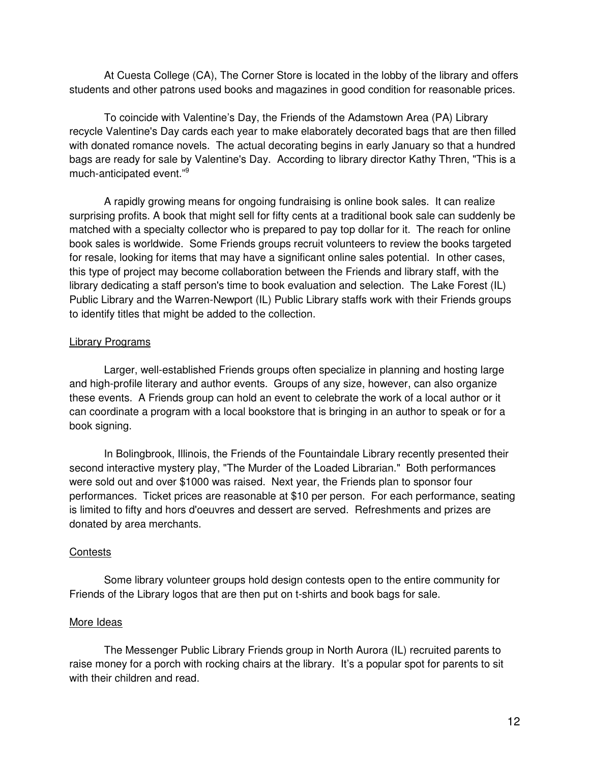At Cuesta College (CA), The Corner Store is located in the lobby of the library and offers students and other patrons used books and magazines in good condition for reasonable prices.

 To coincide with Valentine's Day, the Friends of the Adamstown Area (PA) Library recycle Valentine's Day cards each year to make elaborately decorated bags that are then filled with donated romance novels. The actual decorating begins in early January so that a hundred bags are ready for sale by Valentine's Day. According to library director Kathy Thren, "This is a much-anticipated event."<sup>9</sup>

 A rapidly growing means for ongoing fundraising is online book sales. It can realize surprising profits. A book that might sell for fifty cents at a traditional book sale can suddenly be matched with a specialty collector who is prepared to pay top dollar for it. The reach for online book sales is worldwide. Some Friends groups recruit volunteers to review the books targeted for resale, looking for items that may have a significant online sales potential. In other cases, this type of project may become collaboration between the Friends and library staff, with the library dedicating a staff person's time to book evaluation and selection. The Lake Forest (IL) Public Library and the Warren-Newport (IL) Public Library staffs work with their Friends groups to identify titles that might be added to the collection.

#### Library Programs

 Larger, well-established Friends groups often specialize in planning and hosting large and high-profile literary and author events. Groups of any size, however, can also organize these events. A Friends group can hold an event to celebrate the work of a local author or it can coordinate a program with a local bookstore that is bringing in an author to speak or for a book signing.

 In Bolingbrook, Illinois, the Friends of the Fountaindale Library recently presented their second interactive mystery play, "The Murder of the Loaded Librarian." Both performances were sold out and over \$1000 was raised. Next year, the Friends plan to sponsor four performances. Ticket prices are reasonable at \$10 per person. For each performance, seating is limited to fifty and hors d'oeuvres and dessert are served. Refreshments and prizes are donated by area merchants.

### **Contests**

 Some library volunteer groups hold design contests open to the entire community for Friends of the Library logos that are then put on t-shirts and book bags for sale.

### More Ideas

 The Messenger Public Library Friends group in North Aurora (IL) recruited parents to raise money for a porch with rocking chairs at the library. It's a popular spot for parents to sit with their children and read.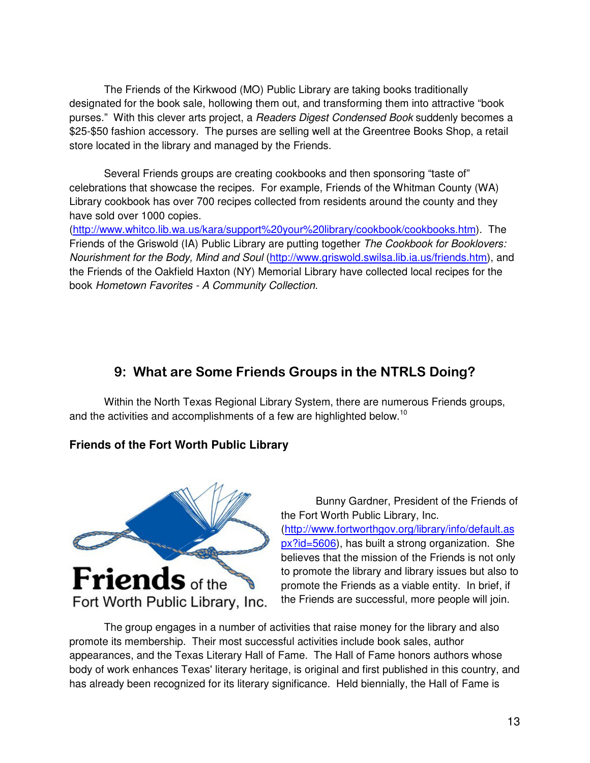The Friends of the Kirkwood (MO) Public Library are taking books traditionally designated for the book sale, hollowing them out, and transforming them into attractive "book purses." With this clever arts project, a *Readers Digest Condensed Book* suddenly becomes a \$25-\$50 fashion accessory. The purses are selling well at the Greentree Books Shop, a retail store located in the library and managed by the Friends.

 Several Friends groups are creating cookbooks and then sponsoring "taste of" celebrations that showcase the recipes. For example, Friends of the Whitman County (WA) Library cookbook has over 700 recipes collected from residents around the county and they have sold over 1000 copies.

(http://www.whitco.lib.wa.us/kara/support%20your%20library/cookbook/cookbooks.htm). The Friends of the Griswold (IA) Public Library are putting together The Cookbook for Booklovers: Nourishment for the Body, Mind and Soul (http://www.griswold.swilsa.lib.ia.us/friends.htm), and the Friends of the Oakfield Haxton (NY) Memorial Library have collected local recipes for the book Hometown Favorites - A Community Collection.

### 9: What are Some Friends Groups in the NTRLS Doing?

 Within the North Texas Regional Library System, there are numerous Friends groups, and the activities and accomplishments of a few are highlighted below.<sup>10</sup>

### **Friends of the Fort Worth Public Library**



 Bunny Gardner, President of the Friends of the Fort Worth Public Library, Inc. (http://www.fortworthgov.org/library/info/default.as px?id=5606), has built a strong organization. She believes that the mission of the Friends is not only to promote the library and library issues but also to promote the Friends as a viable entity. In brief, if the Friends are successful, more people will join.

The group engages in a number of activities that raise money for the library and also promote its membership. Their most successful activities include book sales, author appearances, and the Texas Literary Hall of Fame. The Hall of Fame honors authors whose body of work enhances Texas' literary heritage, is original and first published in this country, and has already been recognized for its literary significance. Held biennially, the Hall of Fame is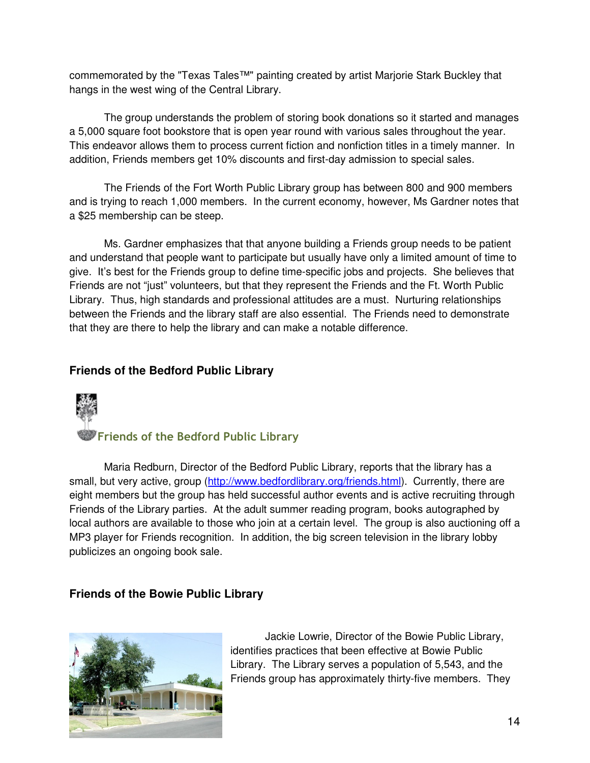commemorated by the "Texas Tales™" painting created by artist Marjorie Stark Buckley that hangs in the west wing of the Central Library.

 The group understands the problem of storing book donations so it started and manages a 5,000 square foot bookstore that is open year round with various sales throughout the year. This endeavor allows them to process current fiction and nonfiction titles in a timely manner. In addition, Friends members get 10% discounts and first-day admission to special sales.

 The Friends of the Fort Worth Public Library group has between 800 and 900 members and is trying to reach 1,000 members. In the current economy, however, Ms Gardner notes that a \$25 membership can be steep.

 Ms. Gardner emphasizes that that anyone building a Friends group needs to be patient and understand that people want to participate but usually have only a limited amount of time to give. It's best for the Friends group to define time-specific jobs and projects. She believes that Friends are not "just" volunteers, but that they represent the Friends and the Ft. Worth Public Library. Thus, high standards and professional attitudes are a must. Nurturing relationships between the Friends and the library staff are also essential. The Friends need to demonstrate that they are there to help the library and can make a notable difference.

### **Friends of the Bedford Public Library**



 Maria Redburn, Director of the Bedford Public Library, reports that the library has a small, but very active, group (http://www.bedfordlibrary.org/friends.html). Currently, there are eight members but the group has held successful author events and is active recruiting through Friends of the Library parties. At the adult summer reading program, books autographed by local authors are available to those who join at a certain level. The group is also auctioning off a MP3 player for Friends recognition. In addition, the big screen television in the library lobby publicizes an ongoing book sale.

### **Friends of the Bowie Public Library**



 Jackie Lowrie, Director of the Bowie Public Library, identifies practices that been effective at Bowie Public Library. The Library serves a population of 5,543, and the Friends group has approximately thirty-five members. They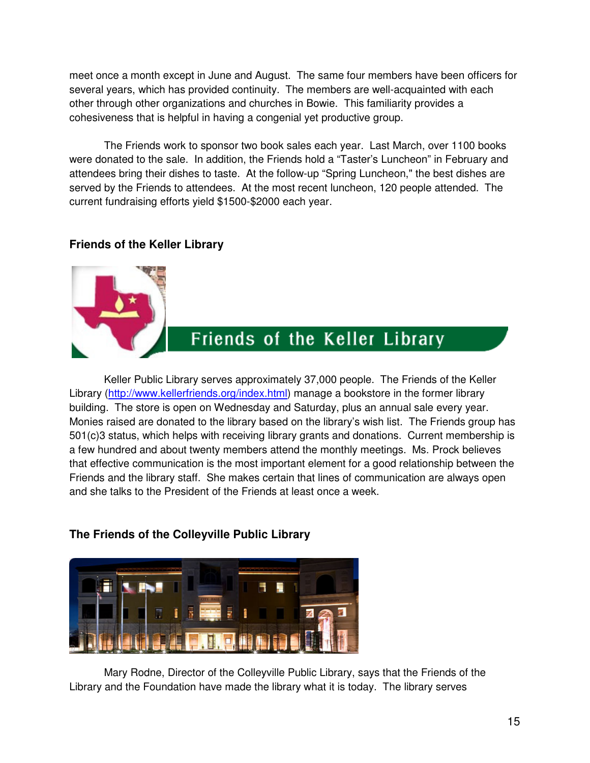meet once a month except in June and August. The same four members have been officers for several years, which has provided continuity. The members are well-acquainted with each other through other organizations and churches in Bowie. This familiarity provides a cohesiveness that is helpful in having a congenial yet productive group.

 The Friends work to sponsor two book sales each year. Last March, over 1100 books were donated to the sale. In addition, the Friends hold a "Taster's Luncheon" in February and attendees bring their dishes to taste. At the follow-up "Spring Luncheon," the best dishes are served by the Friends to attendees. At the most recent luncheon, 120 people attended. The current fundraising efforts yield \$1500-\$2000 each year.

### **Friends of the Keller Library**

## Friends of the Keller Library

 Keller Public Library serves approximately 37,000 people. The Friends of the Keller Library (http://www.kellerfriends.org/index.html) manage a bookstore in the former library building. The store is open on Wednesday and Saturday, plus an annual sale every year. Monies raised are donated to the library based on the library's wish list. The Friends group has 501(c)3 status, which helps with receiving library grants and donations. Current membership is a few hundred and about twenty members attend the monthly meetings. Ms. Prock believes that effective communication is the most important element for a good relationship between the Friends and the library staff. She makes certain that lines of communication are always open and she talks to the President of the Friends at least once a week.

### **The Friends of the Colleyville Public Library**



Mary Rodne, Director of the Colleyville Public Library, says that the Friends of the Library and the Foundation have made the library what it is today. The library serves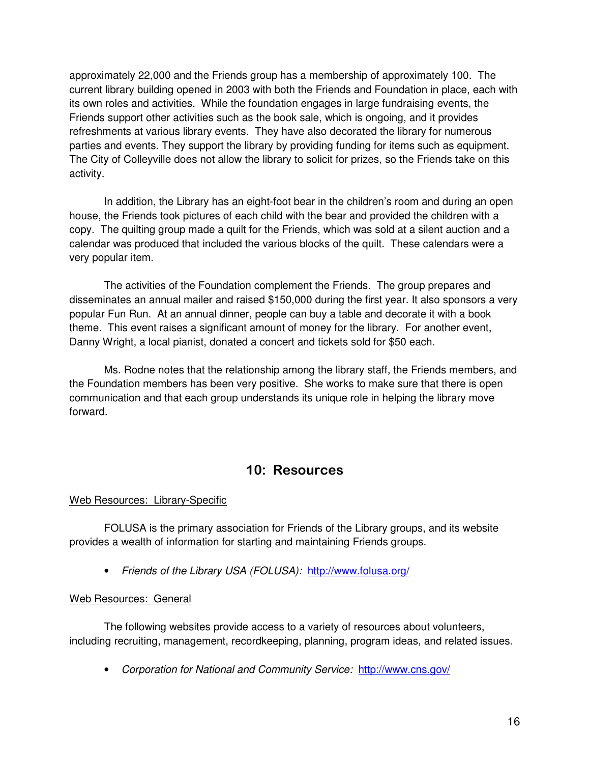approximately 22,000 and the Friends group has a membership of approximately 100. The current library building opened in 2003 with both the Friends and Foundation in place, each with its own roles and activities. While the foundation engages in large fundraising events, the Friends support other activities such as the book sale, which is ongoing, and it provides refreshments at various library events. They have also decorated the library for numerous parties and events. They support the library by providing funding for items such as equipment. The City of Colleyville does not allow the library to solicit for prizes, so the Friends take on this activity.

 In addition, the Library has an eight-foot bear in the children's room and during an open house, the Friends took pictures of each child with the bear and provided the children with a copy. The quilting group made a quilt for the Friends, which was sold at a silent auction and a calendar was produced that included the various blocks of the quilt. These calendars were a very popular item.

 The activities of the Foundation complement the Friends. The group prepares and disseminates an annual mailer and raised \$150,000 during the first year. It also sponsors a very popular Fun Run. At an annual dinner, people can buy a table and decorate it with a book theme. This event raises a significant amount of money for the library. For another event, Danny Wright, a local pianist, donated a concert and tickets sold for \$50 each.

 Ms. Rodne notes that the relationship among the library staff, the Friends members, and the Foundation members has been very positive. She works to make sure that there is open communication and that each group understands its unique role in helping the library move forward.

### 10: Resources

### Web Resources: Library-Specific

 FOLUSA is the primary association for Friends of the Library groups, and its website provides a wealth of information for starting and maintaining Friends groups.

• Friends of the Library USA (FOLUSA): http://www.folusa.org/

### Web Resources: General

 The following websites provide access to a variety of resources about volunteers, including recruiting, management, recordkeeping, planning, program ideas, and related issues.

• Corporation for National and Community Service: http://www.cns.gov/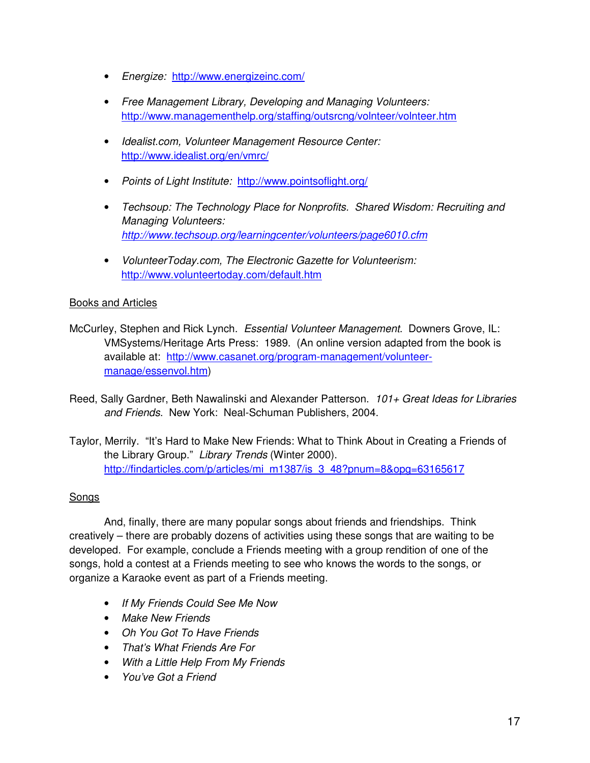- Energize: http://www.energizeinc.com/
- Free Management Library, Developing and Managing Volunteers: http://www.managementhelp.org/staffing/outsrcng/volnteer/volnteer.htm
- Idealist.com, Volunteer Management Resource Center: http://www.idealist.org/en/vmrc/
- Points of Light Institute: http://www.pointsoflight.org/
- Techsoup: The Technology Place for Nonprofits. Shared Wisdom: Recruiting and Managing Volunteers: http://www.techsoup.org/learningcenter/volunteers/page6010.cfm
- VolunteerToday.com, The Electronic Gazette for Volunteerism: http://www.volunteertoday.com/default.htm

### Books and Articles

- McCurley, Stephen and Rick Lynch. Essential Volunteer Management. Downers Grove, IL: VMSystems/Heritage Arts Press: 1989. (An online version adapted from the book is available at: http://www.casanet.org/program-management/volunteermanage/essenvol.htm)
- Reed, Sally Gardner, Beth Nawalinski and Alexander Patterson. 101+ Great Ideas for Libraries and Friends. New York: Neal-Schuman Publishers, 2004.
- Taylor, Merrily. "It's Hard to Make New Friends: What to Think About in Creating a Friends of the Library Group." Library Trends (Winter 2000). http://findarticles.com/p/articles/mi\_m1387/is\_3\_48?pnum=8&opg=63165617

### Songs

 And, finally, there are many popular songs about friends and friendships. Think creatively – there are probably dozens of activities using these songs that are waiting to be developed. For example, conclude a Friends meeting with a group rendition of one of the songs, hold a contest at a Friends meeting to see who knows the words to the songs, or organize a Karaoke event as part of a Friends meeting.

- If My Friends Could See Me Now
- Make New Friends
- Oh You Got To Have Friends
- That's What Friends Are For
- With a Little Help From My Friends
- You've Got a Friend